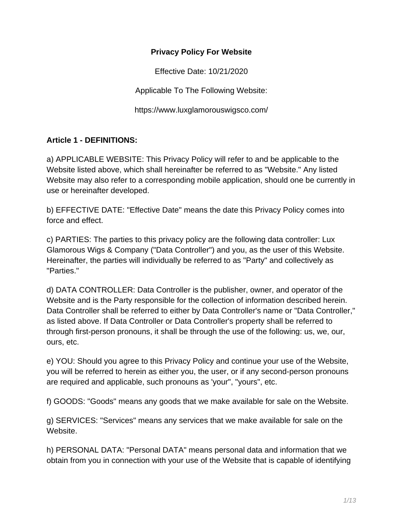#### **Privacy Policy For Website**

Effective Date: 10/21/2020

Applicable To The Following Website:

https://www.luxglamorouswigsco.com/

### **Article 1 - DEFINITIONS:**

a) APPLICABLE WEBSITE: This Privacy Policy will refer to and be applicable to the Website listed above, which shall hereinafter be referred to as "Website." Any listed Website may also refer to a corresponding mobile application, should one be currently in use or hereinafter developed.

b) EFFECTIVE DATE: "Effective Date" means the date this Privacy Policy comes into force and effect.

c) PARTIES: The parties to this privacy policy are the following data controller: Lux Glamorous Wigs & Company ("Data Controller") and you, as the user of this Website. Hereinafter, the parties will individually be referred to as "Party" and collectively as "Parties."

d) DATA CONTROLLER: Data Controller is the publisher, owner, and operator of the Website and is the Party responsible for the collection of information described herein. Data Controller shall be referred to either by Data Controller's name or "Data Controller," as listed above. If Data Controller or Data Controller's property shall be referred to through first-person pronouns, it shall be through the use of the following: us, we, our, ours, etc.

e) YOU: Should you agree to this Privacy Policy and continue your use of the Website, you will be referred to herein as either you, the user, or if any second-person pronouns are required and applicable, such pronouns as 'your", "yours", etc.

f) GOODS: "Goods" means any goods that we make available for sale on the Website.

g) SERVICES: "Services" means any services that we make available for sale on the Website.

h) PERSONAL DATA: "Personal DATA" means personal data and information that we obtain from you in connection with your use of the Website that is capable of identifying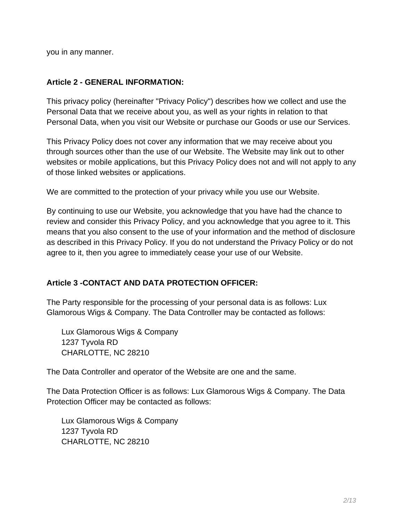you in any manner.

#### **Article 2 - GENERAL INFORMATION:**

This privacy policy (hereinafter "Privacy Policy") describes how we collect and use the Personal Data that we receive about you, as well as your rights in relation to that Personal Data, when you visit our Website or purchase our Goods or use our Services.

This Privacy Policy does not cover any information that we may receive about you through sources other than the use of our Website. The Website may link out to other websites or mobile applications, but this Privacy Policy does not and will not apply to any of those linked websites or applications.

We are committed to the protection of your privacy while you use our Website.

By continuing to use our Website, you acknowledge that you have had the chance to review and consider this Privacy Policy, and you acknowledge that you agree to it. This means that you also consent to the use of your information and the method of disclosure as described in this Privacy Policy. If you do not understand the Privacy Policy or do not agree to it, then you agree to immediately cease your use of our Website.

#### **Article 3 -CONTACT AND DATA PROTECTION OFFICER:**

The Party responsible for the processing of your personal data is as follows: Lux Glamorous Wigs & Company. The Data Controller may be contacted as follows:

Lux Glamorous Wigs & Company 1237 Tyvola RD CHARLOTTE, NC 28210

The Data Controller and operator of the Website are one and the same.

The Data Protection Officer is as follows: Lux Glamorous Wigs & Company. The Data Protection Officer may be contacted as follows:

Lux Glamorous Wigs & Company 1237 Tyvola RD CHARLOTTE, NC 28210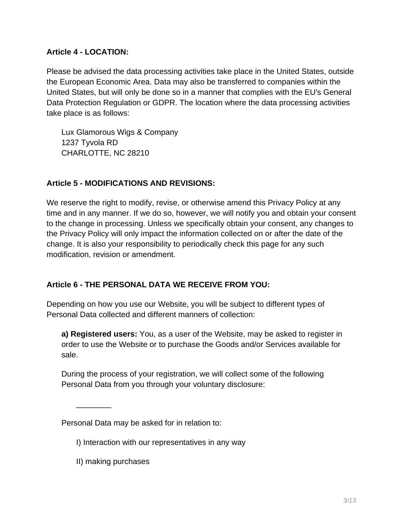### **Article 4 - LOCATION:**

Please be advised the data processing activities take place in the United States, outside the European Economic Area. Data may also be transferred to companies within the United States, but will only be done so in a manner that complies with the EU's General Data Protection Regulation or GDPR. The location where the data processing activities take place is as follows:

Lux Glamorous Wigs & Company 1237 Tyvola RD CHARLOTTE, NC 28210

# **Article 5 - MODIFICATIONS AND REVISIONS:**

We reserve the right to modify, revise, or otherwise amend this Privacy Policy at any time and in any manner. If we do so, however, we will notify you and obtain your consent to the change in processing. Unless we specifically obtain your consent, any changes to the Privacy Policy will only impact the information collected on or after the date of the change. It is also your responsibility to periodically check this page for any such modification, revision or amendment.

# **Article 6 - THE PERSONAL DATA WE RECEIVE FROM YOU:**

Depending on how you use our Website, you will be subject to different types of Personal Data collected and different manners of collection:

**a) Registered users:** You, as a user of the Website, may be asked to register in order to use the Website or to purchase the Goods and/or Services available for sale.

During the process of your registration, we will collect some of the following Personal Data from you through your voluntary disclosure:

Personal Data may be asked for in relation to:

- I) Interaction with our representatives in any way
- II) making purchases

 $\overline{\phantom{a}}$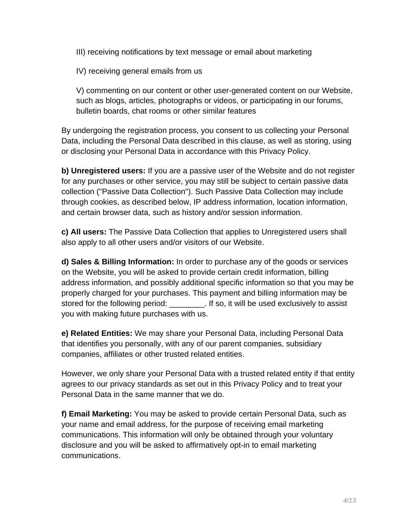III) receiving notifications by text message or email about marketing

IV) receiving general emails from us

V) commenting on our content or other user-generated content on our Website, such as blogs, articles, photographs or videos, or participating in our forums, bulletin boards, chat rooms or other similar features

By undergoing the registration process, you consent to us collecting your Personal Data, including the Personal Data described in this clause, as well as storing, using or disclosing your Personal Data in accordance with this Privacy Policy.

**b) Unregistered users:** If you are a passive user of the Website and do not register for any purchases or other service, you may still be subject to certain passive data collection ("Passive Data Collection"). Such Passive Data Collection may include through cookies, as described below, IP address information, location information, and certain browser data, such as history and/or session information.

**c) All users:** The Passive Data Collection that applies to Unregistered users shall also apply to all other users and/or visitors of our Website.

**d) Sales & Billing Information:** In order to purchase any of the goods or services on the Website, you will be asked to provide certain credit information, billing address information, and possibly additional specific information so that you may be properly charged for your purchases. This payment and billing information may be stored for the following period: \_\_\_\_\_\_\_\_\_. If so, it will be used exclusively to assist you with making future purchases with us.

**e) Related Entities:** We may share your Personal Data, including Personal Data that identifies you personally, with any of our parent companies, subsidiary companies, affiliates or other trusted related entities.

However, we only share your Personal Data with a trusted related entity if that entity agrees to our privacy standards as set out in this Privacy Policy and to treat your Personal Data in the same manner that we do.

**f) Email Marketing:** You may be asked to provide certain Personal Data, such as your name and email address, for the purpose of receiving email marketing communications. This information will only be obtained through your voluntary disclosure and you will be asked to affirmatively opt-in to email marketing communications.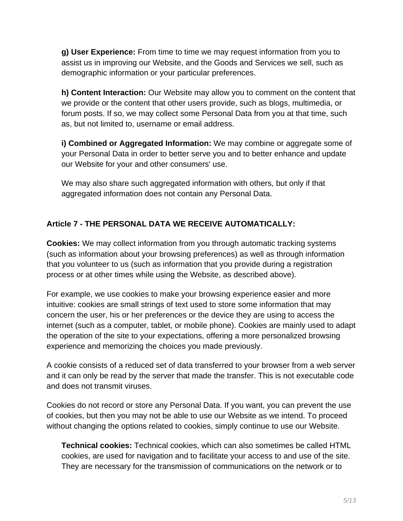**g) User Experience:** From time to time we may request information from you to assist us in improving our Website, and the Goods and Services we sell, such as demographic information or your particular preferences.

**h) Content Interaction:** Our Website may allow you to comment on the content that we provide or the content that other users provide, such as blogs, multimedia, or forum posts. If so, we may collect some Personal Data from you at that time, such as, but not limited to, username or email address.

**i) Combined or Aggregated Information:** We may combine or aggregate some of your Personal Data in order to better serve you and to better enhance and update our Website for your and other consumers' use.

We may also share such aggregated information with others, but only if that aggregated information does not contain any Personal Data.

# **Article 7 - THE PERSONAL DATA WE RECEIVE AUTOMATICALLY:**

**Cookies:** We may collect information from you through automatic tracking systems (such as information about your browsing preferences) as well as through information that you volunteer to us (such as information that you provide during a registration process or at other times while using the Website, as described above).

For example, we use cookies to make your browsing experience easier and more intuitive: cookies are small strings of text used to store some information that may concern the user, his or her preferences or the device they are using to access the internet (such as a computer, tablet, or mobile phone). Cookies are mainly used to adapt the operation of the site to your expectations, offering a more personalized browsing experience and memorizing the choices you made previously.

A cookie consists of a reduced set of data transferred to your browser from a web server and it can only be read by the server that made the transfer. This is not executable code and does not transmit viruses.

Cookies do not record or store any Personal Data. If you want, you can prevent the use of cookies, but then you may not be able to use our Website as we intend. To proceed without changing the options related to cookies, simply continue to use our Website.

**Technical cookies:** Technical cookies, which can also sometimes be called HTML cookies, are used for navigation and to facilitate your access to and use of the site. They are necessary for the transmission of communications on the network or to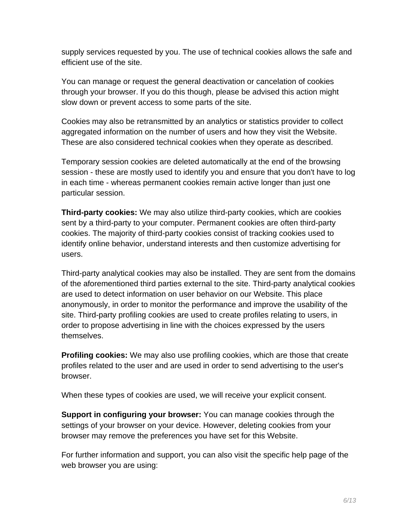supply services requested by you. The use of technical cookies allows the safe and efficient use of the site.

You can manage or request the general deactivation or cancelation of cookies through your browser. If you do this though, please be advised this action might slow down or prevent access to some parts of the site.

Cookies may also be retransmitted by an analytics or statistics provider to collect aggregated information on the number of users and how they visit the Website. These are also considered technical cookies when they operate as described.

Temporary session cookies are deleted automatically at the end of the browsing session - these are mostly used to identify you and ensure that you don't have to log in each time - whereas permanent cookies remain active longer than just one particular session.

**Third-party cookies:** We may also utilize third-party cookies, which are cookies sent by a third-party to your computer. Permanent cookies are often third-party cookies. The majority of third-party cookies consist of tracking cookies used to identify online behavior, understand interests and then customize advertising for users.

Third-party analytical cookies may also be installed. They are sent from the domains of the aforementioned third parties external to the site. Third-party analytical cookies are used to detect information on user behavior on our Website. This place anonymously, in order to monitor the performance and improve the usability of the site. Third-party profiling cookies are used to create profiles relating to users, in order to propose advertising in line with the choices expressed by the users themselves.

**Profiling cookies:** We may also use profiling cookies, which are those that create profiles related to the user and are used in order to send advertising to the user's browser.

When these types of cookies are used, we will receive your explicit consent.

**Support in configuring your browser:** You can manage cookies through the settings of your browser on your device. However, deleting cookies from your browser may remove the preferences you have set for this Website.

For further information and support, you can also visit the specific help page of the web browser you are using: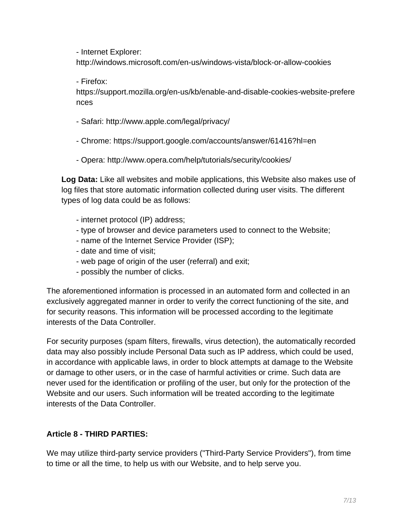- Internet Explorer:

http://windows.microsoft.com/en-us/windows-vista/block-or-allow-cookies

- Firefox:

https://support.mozilla.org/en-us/kb/enable-and-disable-cookies-website-prefere nces

- Safari: http://www.apple.com/legal/privacy/
- Chrome: https://support.google.com/accounts/answer/61416?hl=en
- Opera: http://www.opera.com/help/tutorials/security/cookies/

**Log Data:** Like all websites and mobile applications, this Website also makes use of log files that store automatic information collected during user visits. The different types of log data could be as follows:

- internet protocol (IP) address;
- type of browser and device parameters used to connect to the Website;
- name of the Internet Service Provider (ISP);
- date and time of visit;
- web page of origin of the user (referral) and exit;
- possibly the number of clicks.

The aforementioned information is processed in an automated form and collected in an exclusively aggregated manner in order to verify the correct functioning of the site, and for security reasons. This information will be processed according to the legitimate interests of the Data Controller.

For security purposes (spam filters, firewalls, virus detection), the automatically recorded data may also possibly include Personal Data such as IP address, which could be used, in accordance with applicable laws, in order to block attempts at damage to the Website or damage to other users, or in the case of harmful activities or crime. Such data are never used for the identification or profiling of the user, but only for the protection of the Website and our users. Such information will be treated according to the legitimate interests of the Data Controller.

# **Article 8 - THIRD PARTIES:**

We may utilize third-party service providers ("Third-Party Service Providers"), from time to time or all the time, to help us with our Website, and to help serve you.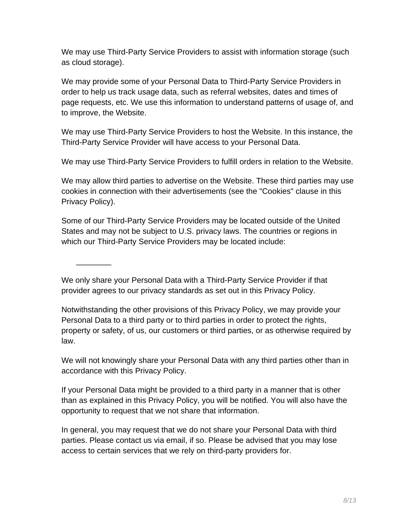We may use Third-Party Service Providers to assist with information storage (such as cloud storage).

We may provide some of your Personal Data to Third-Party Service Providers in order to help us track usage data, such as referral websites, dates and times of page requests, etc. We use this information to understand patterns of usage of, and to improve, the Website.

We may use Third-Party Service Providers to host the Website. In this instance, the Third-Party Service Provider will have access to your Personal Data.

We may use Third-Party Service Providers to fulfill orders in relation to the Website.

We may allow third parties to advertise on the Website. These third parties may use cookies in connection with their advertisements (see the "Cookies" clause in this Privacy Policy).

Some of our Third-Party Service Providers may be located outside of the United States and may not be subject to U.S. privacy laws. The countries or regions in which our Third-Party Service Providers may be located include:

We only share your Personal Data with a Third-Party Service Provider if that provider agrees to our privacy standards as set out in this Privacy Policy.

\_\_\_\_\_\_\_\_

Notwithstanding the other provisions of this Privacy Policy, we may provide your Personal Data to a third party or to third parties in order to protect the rights, property or safety, of us, our customers or third parties, or as otherwise required by law.

We will not knowingly share your Personal Data with any third parties other than in accordance with this Privacy Policy.

If your Personal Data might be provided to a third party in a manner that is other than as explained in this Privacy Policy, you will be notified. You will also have the opportunity to request that we not share that information.

In general, you may request that we do not share your Personal Data with third parties. Please contact us via email, if so. Please be advised that you may lose access to certain services that we rely on third-party providers for.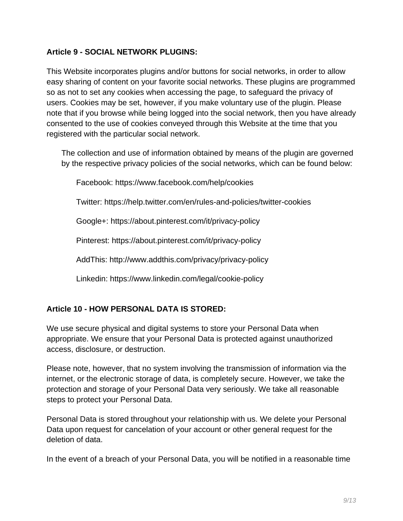### **Article 9 - SOCIAL NETWORK PLUGINS:**

This Website incorporates plugins and/or buttons for social networks, in order to allow easy sharing of content on your favorite social networks. These plugins are programmed so as not to set any cookies when accessing the page, to safeguard the privacy of users. Cookies may be set, however, if you make voluntary use of the plugin. Please note that if you browse while being logged into the social network, then you have already consented to the use of cookies conveyed through this Website at the time that you registered with the particular social network.

The collection and use of information obtained by means of the plugin are governed by the respective privacy policies of the social networks, which can be found below:

Facebook: https://www.facebook.com/help/cookies

Twitter: https://help.twitter.com/en/rules-and-policies/twitter-cookies

Google+: https://about.pinterest.com/it/privacy-policy

Pinterest: https://about.pinterest.com/it/privacy-policy

AddThis: http://www.addthis.com/privacy/privacy-policy

Linkedin: https://www.linkedin.com/legal/cookie-policy

# **Article 10 - HOW PERSONAL DATA IS STORED:**

We use secure physical and digital systems to store your Personal Data when appropriate. We ensure that your Personal Data is protected against unauthorized access, disclosure, or destruction.

Please note, however, that no system involving the transmission of information via the internet, or the electronic storage of data, is completely secure. However, we take the protection and storage of your Personal Data very seriously. We take all reasonable steps to protect your Personal Data.

Personal Data is stored throughout your relationship with us. We delete your Personal Data upon request for cancelation of your account or other general request for the deletion of data.

In the event of a breach of your Personal Data, you will be notified in a reasonable time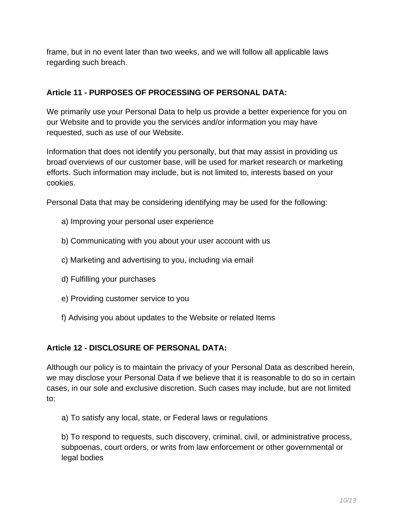frame, but in no event later than two weeks, and we will follow all applicable laws regarding such breach.

### **Article 11 - PURPOSES OF PROCESSING OF PERSONAL DATA:**

We primarily use your Personal Data to help us provide a better experience for you on our Website and to provide you the services and/or information you may have requested, such as use of our Website.

Information that does not identify you personally, but that may assist in providing us broad overviews of our customer base, will be used for market research or marketing efforts. Such information may include, but is not limited to, interests based on your cookies.

Personal Data that may be considering identifying may be used for the following:

- a) Improving your personal user experience
- b) Communicating with you about your user account with us
- c) Marketing and advertising to you, including via email
- d) Fulfilling your purchases
- e) Providing customer service to you
- f) Advising you about updates to the Website or related Items

# **Article 12 - DISCLOSURE OF PERSONAL DATA:**

Although our policy is to maintain the privacy of your Personal Data as described herein, we may disclose your Personal Data if we believe that it is reasonable to do so in certain cases, in our sole and exclusive discretion. Such cases may include, but are not limited to:

a) To satisfy any local, state, or Federal laws or regulations

b) To respond to requests, such discovery, criminal, civil, or administrative process, subpoenas, court orders, or writs from law enforcement or other governmental or legal bodies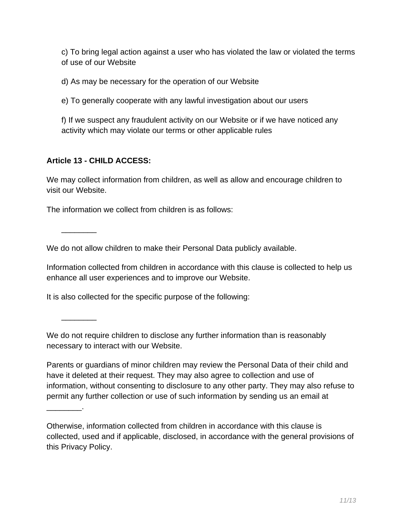c) To bring legal action against a user who has violated the law or violated the terms of use of our Website

d) As may be necessary for the operation of our Website

e) To generally cooperate with any lawful investigation about our users

f) If we suspect any fraudulent activity on our Website or if we have noticed any activity which may violate our terms or other applicable rules

### **Article 13 - CHILD ACCESS:**

We may collect information from children, as well as allow and encourage children to visit our Website.

The information we collect from children is as follows:

 $\overline{\phantom{a}}$ 

 $\overline{\phantom{a}}$ 

\_\_\_\_\_\_\_\_.

We do not allow children to make their Personal Data publicly available.

Information collected from children in accordance with this clause is collected to help us enhance all user experiences and to improve our Website.

It is also collected for the specific purpose of the following:

We do not require children to disclose any further information than is reasonably necessary to interact with our Website.

Parents or guardians of minor children may review the Personal Data of their child and have it deleted at their request. They may also agree to collection and use of information, without consenting to disclosure to any other party. They may also refuse to permit any further collection or use of such information by sending us an email at

Otherwise, information collected from children in accordance with this clause is collected, used and if applicable, disclosed, in accordance with the general provisions of this Privacy Policy.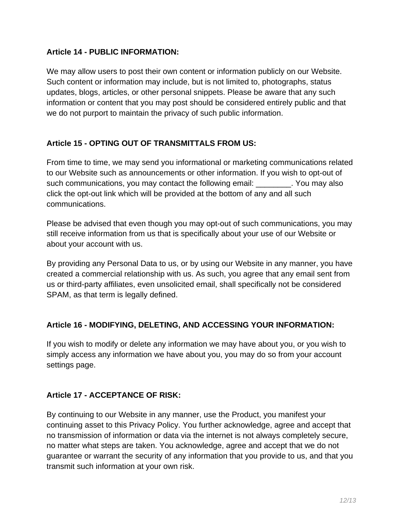### **Article 14 - PUBLIC INFORMATION:**

We may allow users to post their own content or information publicly on our Website. Such content or information may include, but is not limited to, photographs, status updates, blogs, articles, or other personal snippets. Please be aware that any such information or content that you may post should be considered entirely public and that we do not purport to maintain the privacy of such public information.

### **Article 15 - OPTING OUT OF TRANSMITTALS FROM US:**

From time to time, we may send you informational or marketing communications related to our Website such as announcements or other information. If you wish to opt-out of such communications, you may contact the following email: The You may also click the opt-out link which will be provided at the bottom of any and all such communications.

Please be advised that even though you may opt-out of such communications, you may still receive information from us that is specifically about your use of our Website or about your account with us.

By providing any Personal Data to us, or by using our Website in any manner, you have created a commercial relationship with us. As such, you agree that any email sent from us or third-party affiliates, even unsolicited email, shall specifically not be considered SPAM, as that term is legally defined.

#### **Article 16 - MODIFYING, DELETING, AND ACCESSING YOUR INFORMATION:**

If you wish to modify or delete any information we may have about you, or you wish to simply access any information we have about you, you may do so from your account settings page.

# **Article 17 - ACCEPTANCE OF RISK:**

By continuing to our Website in any manner, use the Product, you manifest your continuing asset to this Privacy Policy. You further acknowledge, agree and accept that no transmission of information or data via the internet is not always completely secure, no matter what steps are taken. You acknowledge, agree and accept that we do not guarantee or warrant the security of any information that you provide to us, and that you transmit such information at your own risk.